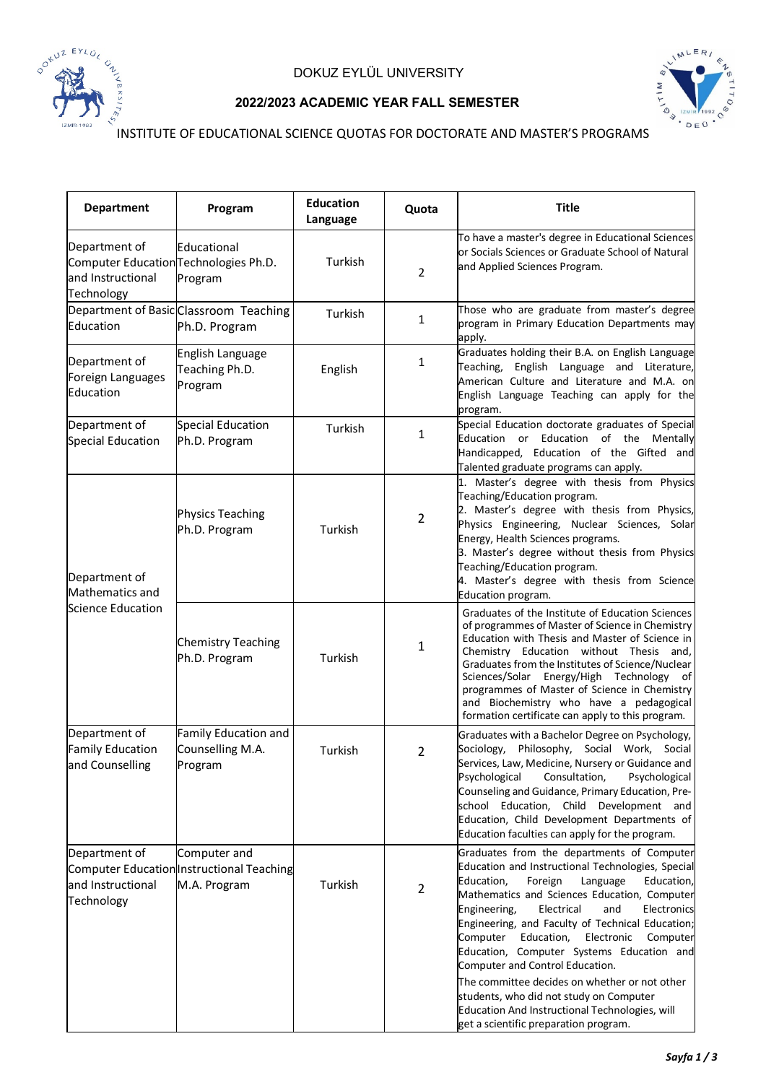



## **2022/2023 ACADEMIC YEAR FALL SEMESTER**

INSTITUTE OF EDUCATIONAL SCIENCE QUOTAS FOR DOCTORATE AND MASTER'S PROGRAMS

| <b>Department</b>                                                                         | Program                                                                   | <b>Education</b><br>Language | Quota          | <b>Title</b>                                                                                                                                                                                                                                                                                                                                                                                                                                                                                                                                                                                                                          |
|-------------------------------------------------------------------------------------------|---------------------------------------------------------------------------|------------------------------|----------------|---------------------------------------------------------------------------------------------------------------------------------------------------------------------------------------------------------------------------------------------------------------------------------------------------------------------------------------------------------------------------------------------------------------------------------------------------------------------------------------------------------------------------------------------------------------------------------------------------------------------------------------|
| Department of<br>Computer Education Technologies Ph.D.<br>and Instructional<br>Technology | Educational<br>Program                                                    | Turkish                      | $\overline{2}$ | To have a master's degree in Educational Sciences<br>or Socials Sciences or Graduate School of Natural<br>and Applied Sciences Program.                                                                                                                                                                                                                                                                                                                                                                                                                                                                                               |
| Education                                                                                 | Department of Basic Classroom Teaching<br>Ph.D. Program                   | Turkish                      | 1              | Those who are graduate from master's degree<br>program in Primary Education Departments may<br>apply.                                                                                                                                                                                                                                                                                                                                                                                                                                                                                                                                 |
| Department of<br>Foreign Languages<br>Education                                           | English Language<br>Teaching Ph.D.<br>Program                             | English                      | 1              | Graduates holding their B.A. on English Language<br>Teaching, English Language and Literature,<br>American Culture and Literature and M.A. on<br>English Language Teaching can apply for the<br>program.                                                                                                                                                                                                                                                                                                                                                                                                                              |
| Department of<br>Special Education                                                        | Special Education<br>Ph.D. Program                                        | Turkish                      | 1              | Special Education doctorate graduates of Special<br>Education or Education of the Mentally<br>Handicapped, Education of the Gifted and<br>Talented graduate programs can apply.                                                                                                                                                                                                                                                                                                                                                                                                                                                       |
| Department of<br>Mathematics and<br>Science Education                                     | Physics Teaching<br>Ph.D. Program                                         | Turkish                      | $\overline{2}$ | 1. Master's degree with thesis from Physics<br>Teaching/Education program.<br>2. Master's degree with thesis from Physics,<br>Physics Engineering, Nuclear Sciences, Solar<br>Energy, Health Sciences programs.<br>3. Master's degree without thesis from Physics<br>Teaching/Education program.<br>4. Master's degree with thesis from Science<br>Education program.                                                                                                                                                                                                                                                                 |
|                                                                                           | <b>Chemistry Teaching</b><br>Ph.D. Program                                | Turkish                      | 1              | Graduates of the Institute of Education Sciences<br>of programmes of Master of Science in Chemistry<br>Education with Thesis and Master of Science in<br>Chemistry Education without Thesis and,<br>Graduates from the Institutes of Science/Nuclear<br>Sciences/Solar Energy/High Technology of<br>programmes of Master of Science in Chemistry<br>and Biochemistry who have a pedagogical<br>formation certificate can apply to this program.                                                                                                                                                                                       |
| Department of<br><b>Family Education</b><br>and Counselling                               | Family Education and<br>Counselling M.A.<br>Program                       | Turkish                      | $\overline{2}$ | Graduates with a Bachelor Degree on Psychology,<br>Sociology, Philosophy, Social Work, Social<br>Services, Law, Medicine, Nursery or Guidance and<br>Psychological<br>Consultation,<br>Psychological<br>Counseling and Guidance, Primary Education, Pre-<br>school Education, Child Development and<br>Education, Child Development Departments of<br>Education faculties can apply for the program.                                                                                                                                                                                                                                  |
| Department of<br>and Instructional<br>Technology                                          | Computer and<br>Computer Education Instructional Teaching<br>M.A. Program | Turkish                      | $\overline{2}$ | Graduates from the departments of Computer<br>Education and Instructional Technologies, Special<br>Education,<br>Foreign<br>Language<br>Education,<br>Mathematics and Sciences Education, Computer<br>Engineering,<br>Electrical<br>and<br>Electronics<br>Engineering, and Faculty of Technical Education;<br>Electronic<br>Computer<br>Education,<br>Computer<br>Education, Computer Systems Education and<br>Computer and Control Education.<br>The committee decides on whether or not other<br>students, who did not study on Computer<br>Education And Instructional Technologies, will<br>get a scientific preparation program. |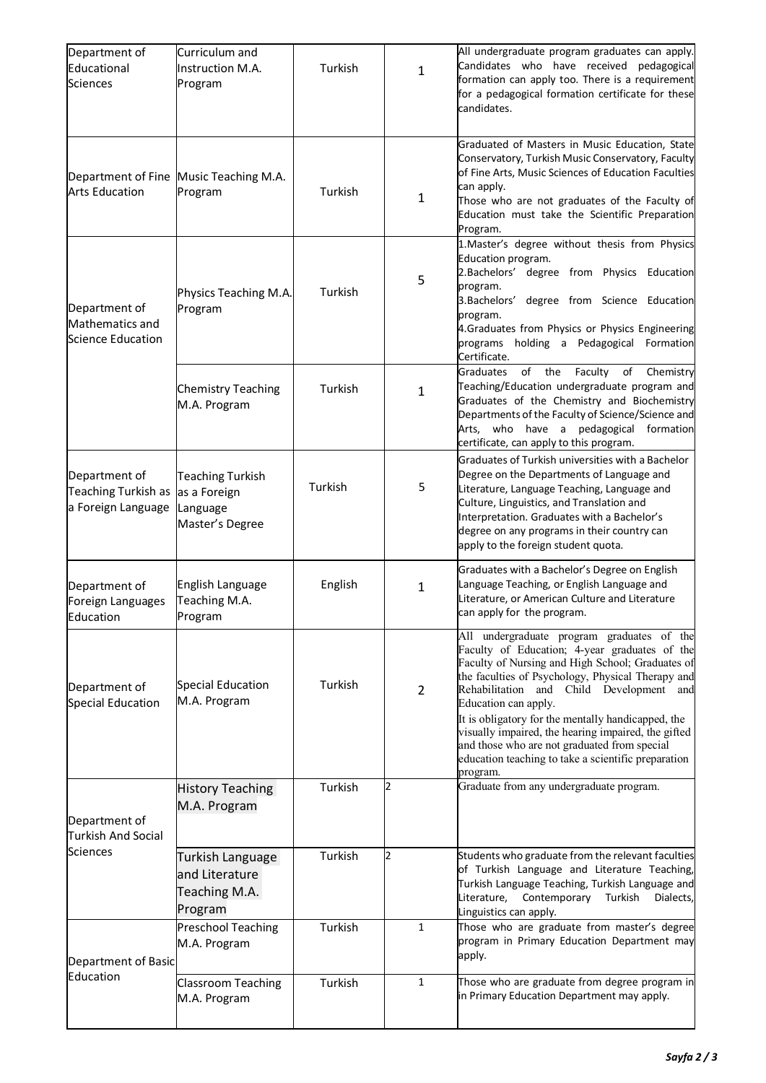| Department of<br>Educational<br><b>Sciences</b>               | Curriculum and<br>Instruction M.A.<br>Program                   | Turkish | $\mathbf{1}$   | All undergraduate program graduates can apply.<br>Candidates who have received pedagogical<br>formation can apply too. There is a requirement<br>for a pedagogical formation certificate for these<br>candidates.                                                                                                                                                                                                                                                                            |
|---------------------------------------------------------------|-----------------------------------------------------------------|---------|----------------|----------------------------------------------------------------------------------------------------------------------------------------------------------------------------------------------------------------------------------------------------------------------------------------------------------------------------------------------------------------------------------------------------------------------------------------------------------------------------------------------|
| <b>Arts Education</b>                                         | Department of Fine Music Teaching M.A.<br>Program               | Turkish | 1              | Graduated of Masters in Music Education, State<br>Conservatory, Turkish Music Conservatory, Faculty<br>of Fine Arts, Music Sciences of Education Faculties<br>can apply.<br>Those who are not graduates of the Faculty of<br>Education must take the Scientific Preparation<br>Program.                                                                                                                                                                                                      |
| Department of<br>Mathematics and<br>Science Education         | Physics Teaching M.A.<br>Program                                | Turkish | 5              | 1. Master's degree without thesis from Physics<br>Education program.<br>2. Bachelors' degree from Physics Education<br>program.<br>3. Bachelors' degree from Science Education<br>program.<br>4.Graduates from Physics or Physics Engineering<br>programs holding a Pedagogical Formation<br>Certificate.                                                                                                                                                                                    |
|                                                               | <b>Chemistry Teaching</b><br>M.A. Program                       | Turkish | 1              | of the<br>Faculty of<br>Chemistry<br><b>Graduates</b><br>Teaching/Education undergraduate program and<br>Graduates of the Chemistry and Biochemistry<br>Departments of the Faculty of Science/Science and<br>Arts, who have a pedagogical<br>formation<br>certificate, can apply to this program.                                                                                                                                                                                            |
| Department of<br>Teaching Turkish as<br>a Foreign Language    | Teaching Turkish<br>as a Foreign<br>Language<br>Master's Degree | Turkish | 5              | Graduates of Turkish universities with a Bachelor<br>Degree on the Departments of Language and<br>Literature, Language Teaching, Language and<br>Culture, Linguistics, and Translation and<br>Interpretation. Graduates with a Bachelor's<br>degree on any programs in their country can<br>apply to the foreign student quota.                                                                                                                                                              |
| Department of<br>Foreign Languages<br>Education               | English Language<br>Teaching M.A.<br>Program                    | English | $\mathbf{1}$   | Graduates with a Bachelor's Degree on English<br>Language Teaching, or English Language and<br>Literature, or American Culture and Literature<br>can apply for the program.                                                                                                                                                                                                                                                                                                                  |
| Department of<br>Special Education                            | Special Education<br>M.A. Program                               | Turkish | $\overline{2}$ | All undergraduate program graduates of the<br>Faculty of Education; 4-year graduates of the<br>Faculty of Nursing and High School; Graduates of<br>the faculties of Psychology, Physical Therapy and<br>Rehabilitation and Child Development and<br>Education can apply.<br>It is obligatory for the mentally handicapped, the<br>visually impaired, the hearing impaired, the gifted<br>and those who are not graduated from special<br>education teaching to take a scientific preparation |
| Department of<br><b>Turkish And Social</b><br><b>Sciences</b> | <b>History Teaching</b><br>M.A. Program                         | Turkish | $\overline{2}$ | program.<br>Graduate from any undergraduate program.                                                                                                                                                                                                                                                                                                                                                                                                                                         |
|                                                               | Turkish Language<br>and Literature<br>Teaching M.A.<br>Program  | Turkish | 2              | Students who graduate from the relevant faculties<br>of Turkish Language and Literature Teaching,<br>Turkish Language Teaching, Turkish Language and<br>Literature,<br>Contemporary<br>Dialects,<br>Turkish<br>Linguistics can apply.                                                                                                                                                                                                                                                        |
| Department of Basic<br>Education                              | <b>Preschool Teaching</b><br>M.A. Program                       | Turkish | $\mathbf{1}$   | Those who are graduate from master's degree<br>program in Primary Education Department may<br>apply.                                                                                                                                                                                                                                                                                                                                                                                         |
|                                                               | Classroom Teaching<br>M.A. Program                              | Turkish | $\mathbf{1}$   | Those who are graduate from degree program in<br>in Primary Education Department may apply.                                                                                                                                                                                                                                                                                                                                                                                                  |